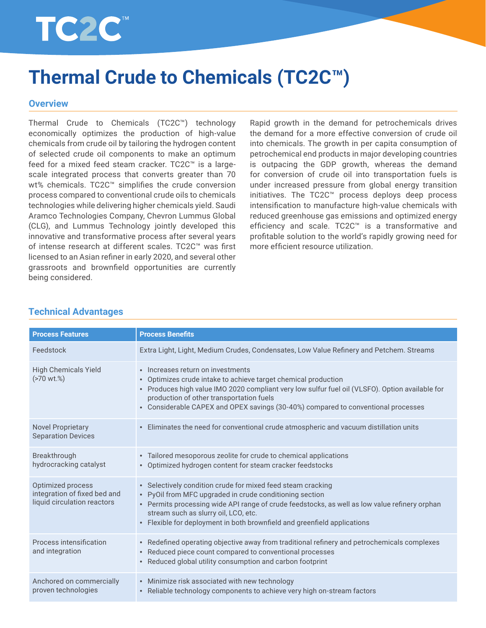

# **Thermal Crude to Chemicals (TC2C™)**

#### **Overview**

Thermal Crude to Chemicals (TC2C™) technology economically optimizes the production of high-value chemicals from crude oil by tailoring the hydrogen content of selected crude oil components to make an optimum feed for a mixed feed steam cracker. TC2C™ is a largescale integrated process that converts greater than 70 wt% chemicals. TC2C™ simplifies the crude conversion process compared to conventional crude oils to chemicals technologies while delivering higher chemicals yield. Saudi Aramco Technologies Company, Chevron Lummus Global (CLG), and Lummus Technology jointly developed this innovative and transformative process after several years of intense research at different scales. TC2C™ was first licensed to an Asian refiner in early 2020, and several other grassroots and brownfield opportunities are currently being considered.

Rapid growth in the demand for petrochemicals drives the demand for a more effective conversion of crude oil into chemicals. The growth in per capita consumption of petrochemical end products in major developing countries is outpacing the GDP growth, whereas the demand for conversion of crude oil into transportation fuels is under increased pressure from global energy transition initiatives. The TC2C™ process deploys deep process intensification to manufacture high-value chemicals with reduced greenhouse gas emissions and optimized energy efficiency and scale. TC2C™ is a transformative and profitable solution to the world's rapidly growing need for more efficient resource utilization.

| <b>Process Features</b>                                                          | <b>Process Benefits</b>                                                                                                                                                                                                                                                                                                                                                             |
|----------------------------------------------------------------------------------|-------------------------------------------------------------------------------------------------------------------------------------------------------------------------------------------------------------------------------------------------------------------------------------------------------------------------------------------------------------------------------------|
| Feedstock                                                                        | Extra Light, Light, Medium Crudes, Condensates, Low Value Refinery and Petchem. Streams                                                                                                                                                                                                                                                                                             |
| <b>High Chemicals Yield</b><br>$(>70$ wt.%)                                      | Increases return on investments<br>$\bullet$<br>Optimizes crude intake to achieve target chemical production<br>$\bullet$<br>Produces high value IMO 2020 compliant very low sulfur fuel oil (VLSFO). Option available for<br>$\bullet$<br>production of other transportation fuels<br>Considerable CAPEX and OPEX savings (30-40%) compared to conventional processes<br>$\bullet$ |
| <b>Novel Proprietary</b><br><b>Separation Devices</b>                            | Eliminates the need for conventional crude atmospheric and vacuum distillation units<br>$\bullet$                                                                                                                                                                                                                                                                                   |
| Breakthrough<br>hydrocracking catalyst                                           | • Tailored mesoporous zeolite for crude to chemical applications<br>• Optimized hydrogen content for steam cracker feedstocks                                                                                                                                                                                                                                                       |
| Optimized process<br>integration of fixed bed and<br>liquid circulation reactors | • Selectively condition crude for mixed feed steam cracking<br>• PyOil from MFC upgraded in crude conditioning section<br>• Permits processing wide API range of crude feedstocks, as well as low value refinery orphan<br>stream such as slurry oil, LCO, etc.<br>Flexible for deployment in both brownfield and greenfield applications<br>$\bullet$                              |
| Process intensification<br>and integration                                       | • Redefined operating objective away from traditional refinery and petrochemicals complexes<br>Reduced piece count compared to conventional processes<br>$\bullet$<br>• Reduced global utility consumption and carbon footprint                                                                                                                                                     |
| Anchored on commercially<br>proven technologies                                  | • Minimize risk associated with new technology<br>• Reliable technology components to achieve very high on-stream factors                                                                                                                                                                                                                                                           |

## **Technical Advantages**